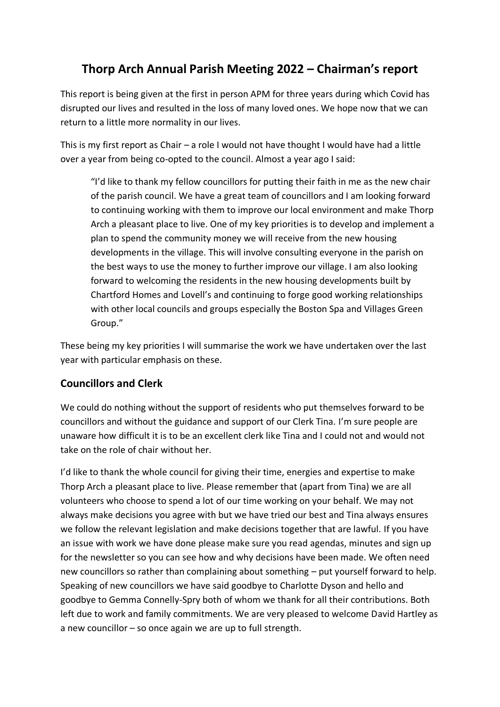# **Thorp Arch Annual Parish Meeting 2022 – Chairman's report**

This report is being given at the first in person APM for three years during which Covid has disrupted our lives and resulted in the loss of many loved ones. We hope now that we can return to a little more normality in our lives.

This is my first report as Chair – a role I would not have thought I would have had a little over a year from being co-opted to the council. Almost a year ago I said:

"I'd like to thank my fellow councillors for putting their faith in me as the new chair of the parish council. We have a great team of councillors and I am looking forward to continuing working with them to improve our local environment and make Thorp Arch a pleasant place to live. One of my key priorities is to develop and implement a plan to spend the community money we will receive from the new housing developments in the village. This will involve consulting everyone in the parish on the best ways to use the money to further improve our village. I am also looking forward to welcoming the residents in the new housing developments built by Chartford Homes and Lovell's and continuing to forge good working relationships with other local councils and groups especially the Boston Spa and Villages Green Group."

These being my key priorities I will summarise the work we have undertaken over the last year with particular emphasis on these.

# **Councillors and Clerk**

We could do nothing without the support of residents who put themselves forward to be councillors and without the guidance and support of our Clerk Tina. I'm sure people are unaware how difficult it is to be an excellent clerk like Tina and I could not and would not take on the role of chair without her.

I'd like to thank the whole council for giving their time, energies and expertise to make Thorp Arch a pleasant place to live. Please remember that (apart from Tina) we are all volunteers who choose to spend a lot of our time working on your behalf. We may not always make decisions you agree with but we have tried our best and Tina always ensures we follow the relevant legislation and make decisions together that are lawful. If you have an issue with work we have done please make sure you read agendas, minutes and sign up for the newsletter so you can see how and why decisions have been made. We often need new councillors so rather than complaining about something – put yourself forward to help. Speaking of new councillors we have said goodbye to Charlotte Dyson and hello and goodbye to Gemma Connelly-Spry both of whom we thank for all their contributions. Both left due to work and family commitments. We are very pleased to welcome David Hartley as a new councillor – so once again we are up to full strength.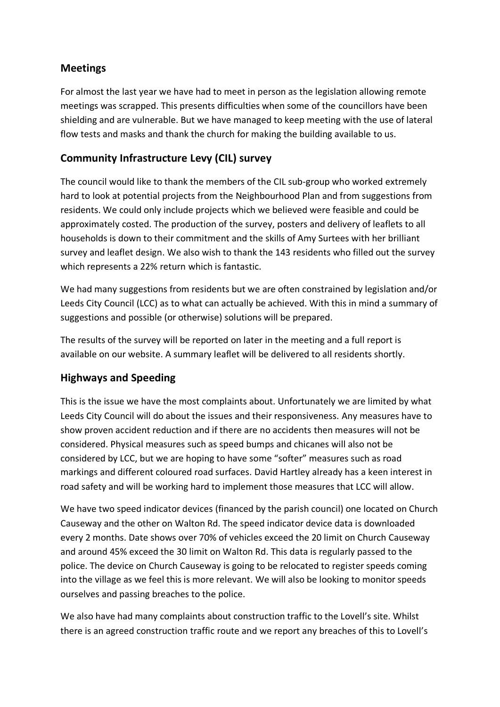# **Meetings**

For almost the last year we have had to meet in person as the legislation allowing remote meetings was scrapped. This presents difficulties when some of the councillors have been shielding and are vulnerable. But we have managed to keep meeting with the use of lateral flow tests and masks and thank the church for making the building available to us.

# **Community Infrastructure Levy (CIL) survey**

The council would like to thank the members of the CIL sub-group who worked extremely hard to look at potential projects from the Neighbourhood Plan and from suggestions from residents. We could only include projects which we believed were feasible and could be approximately costed. The production of the survey, posters and delivery of leaflets to all households is down to their commitment and the skills of Amy Surtees with her brilliant survey and leaflet design. We also wish to thank the 143 residents who filled out the survey which represents a 22% return which is fantastic.

We had many suggestions from residents but we are often constrained by legislation and/or Leeds City Council (LCC) as to what can actually be achieved. With this in mind a summary of suggestions and possible (or otherwise) solutions will be prepared.

The results of the survey will be reported on later in the meeting and a full report is available on our website. A summary leaflet will be delivered to all residents shortly.

# **Highways and Speeding**

This is the issue we have the most complaints about. Unfortunately we are limited by what Leeds City Council will do about the issues and their responsiveness. Any measures have to show proven accident reduction and if there are no accidents then measures will not be considered. Physical measures such as speed bumps and chicanes will also not be considered by LCC, but we are hoping to have some "softer" measures such as road markings and different coloured road surfaces. David Hartley already has a keen interest in road safety and will be working hard to implement those measures that LCC will allow.

We have two speed indicator devices (financed by the parish council) one located on Church Causeway and the other on Walton Rd. The speed indicator device data is downloaded every 2 months. Date shows over 70% of vehicles exceed the 20 limit on Church Causeway and around 45% exceed the 30 limit on Walton Rd. This data is regularly passed to the police. The device on Church Causeway is going to be relocated to register speeds coming into the village as we feel this is more relevant. We will also be looking to monitor speeds ourselves and passing breaches to the police.

We also have had many complaints about construction traffic to the Lovell's site. Whilst there is an agreed construction traffic route and we report any breaches of this to Lovell's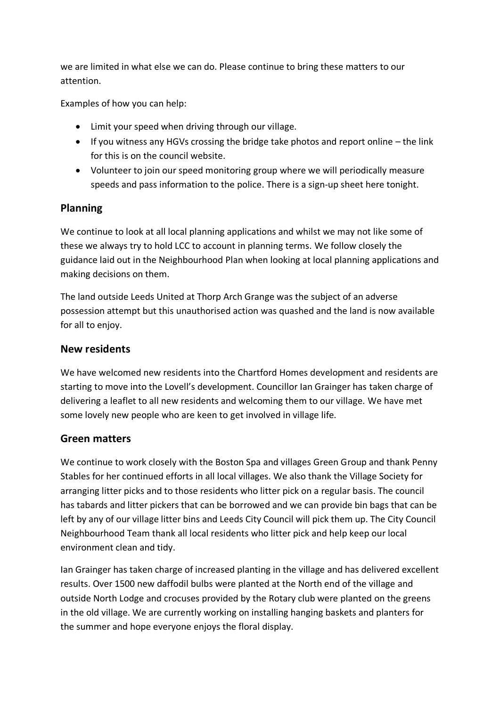we are limited in what else we can do. Please continue to bring these matters to our attention.

Examples of how you can help:

- Limit your speed when driving through our village.
- If you witness any HGVs crossing the bridge take photos and report online the link for this is on the council website.
- Volunteer to join our speed monitoring group where we will periodically measure speeds and pass information to the police. There is a sign-up sheet here tonight.

### **Planning**

We continue to look at all local planning applications and whilst we may not like some of these we always try to hold LCC to account in planning terms. We follow closely the guidance laid out in the Neighbourhood Plan when looking at local planning applications and making decisions on them.

The land outside Leeds United at Thorp Arch Grange was the subject of an adverse possession attempt but this unauthorised action was quashed and the land is now available for all to enjoy.

#### **New residents**

We have welcomed new residents into the Chartford Homes development and residents are starting to move into the Lovell's development. Councillor Ian Grainger has taken charge of delivering a leaflet to all new residents and welcoming them to our village. We have met some lovely new people who are keen to get involved in village life.

#### **Green matters**

We continue to work closely with the Boston Spa and villages Green Group and thank Penny Stables for her continued efforts in all local villages. We also thank the Village Society for arranging litter picks and to those residents who litter pick on a regular basis. The council has tabards and litter pickers that can be borrowed and we can provide bin bags that can be left by any of our village litter bins and Leeds City Council will pick them up. The City Council Neighbourhood Team thank all local residents who litter pick and help keep our local environment clean and tidy.

Ian Grainger has taken charge of increased planting in the village and has delivered excellent results. Over 1500 new daffodil bulbs were planted at the North end of the village and outside North Lodge and crocuses provided by the Rotary club were planted on the greens in the old village. We are currently working on installing hanging baskets and planters for the summer and hope everyone enjoys the floral display.